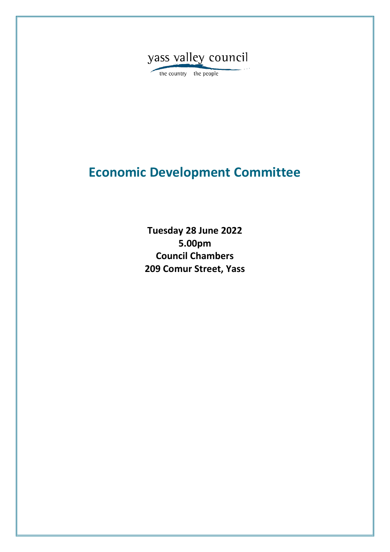

the country the people

# **Economic Development Committee**

**Tuesday 28 June 2022 5.00pm Council Chambers 209 Comur Street, Yass**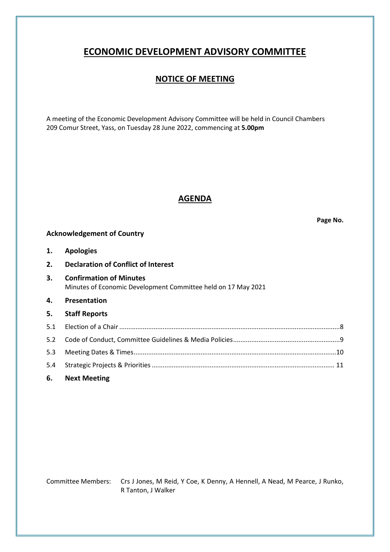## **ECONOMIC DEVELOPMENT ADVISORY COMMITTEE**

### **NOTICE OF MEETING**

A meeting of the Economic Development Advisory Committee will be held in Council Chambers 209 Comur Street, Yass, on Tuesday 28 June 2022, commencing at **5.00pm**

### **AGENDA**

**Page No.**

### **Acknowledgement of Country**

| <b>Apologies</b> | 1. |  |  |
|------------------|----|--|--|
|------------------|----|--|--|

|  | 2. | <b>Declaration of Conflict of Interest</b> |  |
|--|----|--------------------------------------------|--|
|--|----|--------------------------------------------|--|

- **3. Confirmation of Minutes** Minutes of Economic Development Committee held on 17 May 2021
- **4. Presentation**
- **5. Staff Reports**

**6. Next Meeting**

Committee Members: Crs J Jones, M Reid, Y Coe, K Denny, A Hennell, A Nead, M Pearce, J Runko, R Tanton, J Walker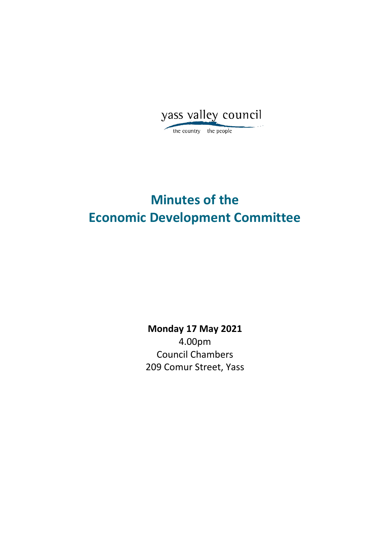yass valley council the country the people

# **Minutes of the Economic Development Committee**

**Monday 17 May 2021** 4.00pm Council Chambers 209 Comur Street, Yass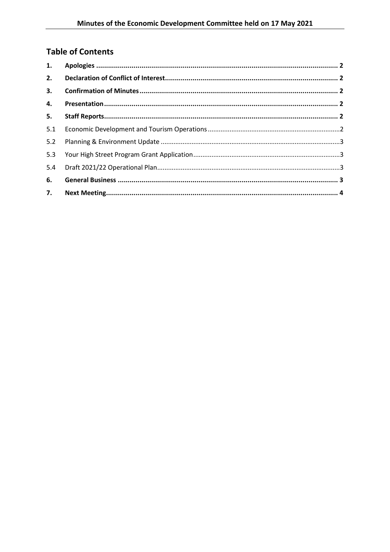## **Table of Contents**

| 1.  |  |
|-----|--|
| 2.  |  |
| 3.  |  |
| 4.  |  |
| 5.  |  |
| 5.1 |  |
| 5.2 |  |
| 5.3 |  |
| 5.4 |  |
| 6.  |  |
| 7.  |  |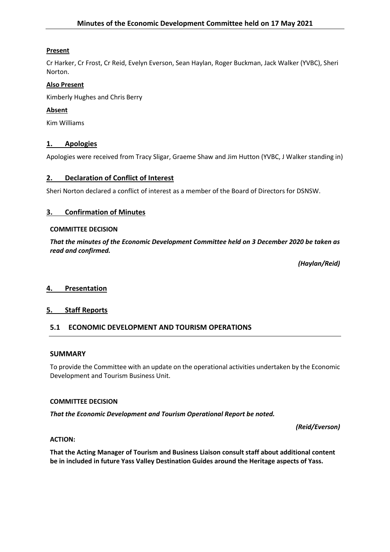### **Present**

Cr Harker, Cr Frost, Cr Reid, Evelyn Everson, Sean Haylan, Roger Buckman, Jack Walker (YVBC), Sheri Norton.

### **Also Present**

Kimberly Hughes and Chris Berry

### **Absent**

Kim Williams

### **1. Apologies**

Apologies were received from Tracy Sligar, Graeme Shaw and Jim Hutton (YVBC, J Walker standing in)

### **2. Declaration of Conflict of Interest**

Sheri Norton declared a conflict of interest as a member of the Board of Directors for DSNSW.

### **3. Confirmation of Minutes**

### **COMMITTEE DECISION**

*That the minutes of the Economic Development Committee held on 3 December 2020 be taken as read and confirmed.*

*(Haylan/Reid)*

### **4. Presentation**

### **5. Staff Reports**

### **5.1 ECONOMIC DEVELOPMENT AND TOURISM OPERATIONS**

### **SUMMARY**

To provide the Committee with an update on the operational activities undertaken by the Economic Development and Tourism Business Unit.

### **COMMITTEE DECISION**

*That the Economic Development and Tourism Operational Report be noted.*

*(Reid/Everson)*

### **ACTION:**

**That the Acting Manager of Tourism and Business Liaison consult staff about additional content be in included in future Yass Valley Destination Guides around the Heritage aspects of Yass.**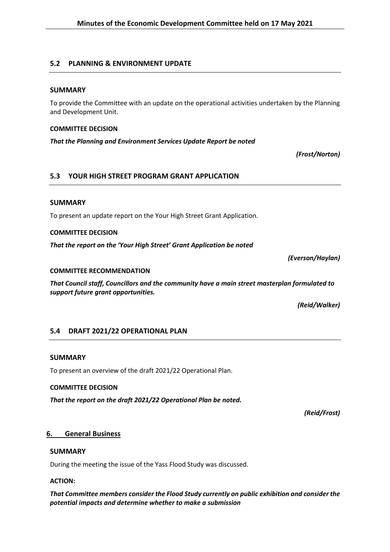### **5.2 PLANNING & ENVIRONMENT UPDATE**

### **SUMMARY**

To provide the Committee with an update on the operational activities undertaken by the Planning and Development Unit.

### **COMMITTEE DECISION**

*That the Planning and Environment Services Update Report be noted*

*(Frost/Norton)*

### **5.3 YOUR HIGH STREET PROGRAM GRANT APPLICATION**

### **SUMMARY**

To present an update report on the Your High Street Grant Application.

### **COMMITTEE DECISION**

*That the report on the 'Your High Street' Grant Application be noted*

*(Everson/Haylan)* **COMMITTEE RECOMMENDATION** 

*That Council staff, Councillors and the community have a main street masterplan formulated to support future grant opportunities.*

*(Reid/Walker)*

### **5.4 DRAFT 2021/22 OPERATIONAL PLAN**

### **SUMMARY**

To present an overview of the draft 2021/22 Operational Plan.

### **COMMITTEE DECISION**

*That the report on the draft 2021/22 Operational Plan be noted.*

*(Reid/Frost)*

### **6. General Business**

### **SUMMARY**

During the meeting the issue of the Yass Flood Study was discussed.

### **ACTION:**

*That Committee members consider the Flood Study currently on public exhibition and consider the potential impacts and determine whether to make a submission*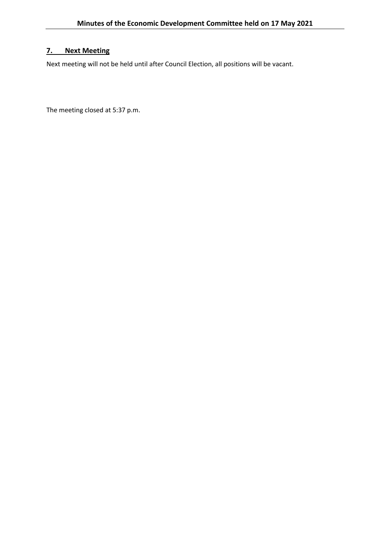### **7. Next Meeting**

Next meeting will not be held until after Council Election, all positions will be vacant.

The meeting closed at 5:37 p.m.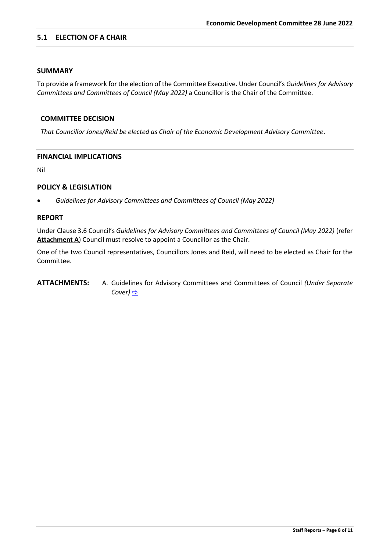### <span id="page-7-0"></span>**5.1 ELECTION OF A CHAIR**

### **SUMMARY**

To provide a framework for the election of the Committee Executive. Under Council's *Guidelines for Advisory Committees and Committees of Council (May 2022)* a Councillor is the Chair of the Committee.

### **COMMITTEE DECISION**

*That Councillor Jones/Reid be elected as Chair of the Economic Development Advisory Committee*.

### **FINANCIAL IMPLICATIONS**

Nil

### **POLICY & LEGISLATION**

• *Guidelines for Advisory Committees and Committees of Council (May 2022)*

### **REPORT**

Under Clause 3.6 Council's *Guidelines for Advisory Committees and Committees of Council (May 2022)* (refer Attachment A) Council must resolve to appoint a Councillor as the Chair.

One of the two Council representatives, Councillors Jones and Reid, will need to be elected as Chair for the Committee.

**ATTACHMENTS:** A. Guidelines for Advisory Committees and Committees of Council *(Under Separate Cover)* [⇨](../../../RedirectToInvalidFileName.aspx?FileName=EDC_28062022_ATT_700_EXCLUDED.PDF#PAGE=3)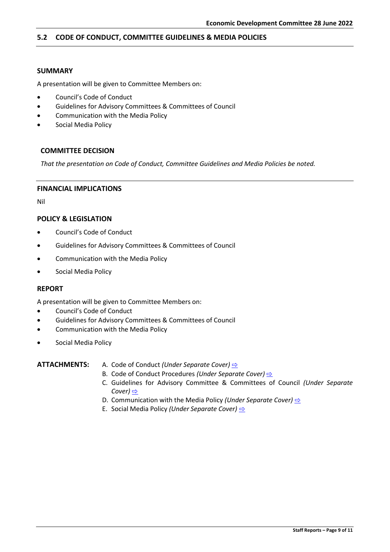### <span id="page-8-0"></span>**5.2 CODE OF CONDUCT, COMMITTEE GUIDELINES & MEDIA POLICIES**

### **SUMMARY**

A presentation will be given to Committee Members on:

- Council's Code of Conduct
- Guidelines for Advisory Committees & Committees of Council
- Communication with the Media Policy
- Social Media Policy

### **COMMITTEE DECISION**

*That the presentation on Code of Conduct, Committee Guidelines and Media Policies be noted.*

#### **FINANCIAL IMPLICATIONS**

Nil

### **POLICY & LEGISLATION**

- Council's Code of Conduct
- Guidelines for Advisory Committees & Committees of Council
- Communication with the Media Policy
- Social Media Policy

#### **REPORT**

A presentation will be given to Committee Members on:

- Council's Code of Conduct
- Guidelines for Advisory Committees & Committees of Council
- Communication with the Media Policy
- Social Media Policy

### **ATTACHMENTS:** A. Code of Conduct *(Under Separate Cover)* [⇨](../../../RedirectToInvalidFileName.aspx?FileName=EDC_28062022_ATT_700_EXCLUDED.PDF#PAGE=46)

- B. Code of Conduct Procedures *(Under Separate Cover)*  $\Rightarrow$
- C. Guidelines for Advisory Committee & Committees of Council *(Under Separate Cover)* [⇨](../../../RedirectToInvalidFileName.aspx?FileName=EDC_28062022_ATT_700_EXCLUDED.PDF#PAGE=160)
- D. Communication with the Media Policy *(Under Separate Cover)* **[⇨](../../../RedirectToInvalidFileName.aspx?FileName=EDC_28062022_ATT_700_EXCLUDED.PDF#PAGE=203)**
- E. Social Media Policy *(Under Separate Cover)* [⇨](../../../RedirectToInvalidFileName.aspx?FileName=EDC_28062022_ATT_700_EXCLUDED.PDF#PAGE=206)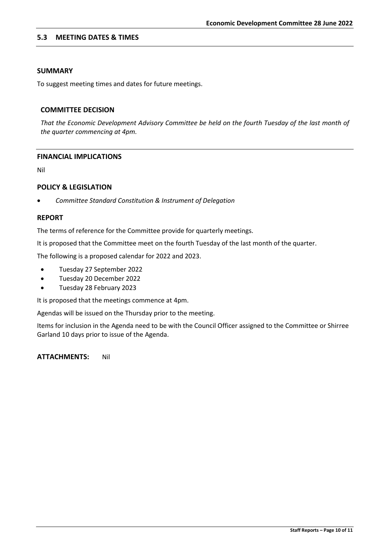### <span id="page-9-0"></span>**5.3 MEETING DATES & TIMES**

### **SUMMARY**

To suggest meeting times and dates for future meetings.

#### **COMMITTEE DECISION**

*That the Economic Development Advisory Committee be held on the fourth Tuesday of the last month of the quarter commencing at 4pm.* 

### **FINANCIAL IMPLICATIONS**

Nil

### **POLICY & LEGISLATION**

• *Committee Standard Constitution & Instrument of Delegation*

### **REPORT**

The terms of reference for the Committee provide for quarterly meetings.

It is proposed that the Committee meet on the fourth Tuesday of the last month of the quarter.

The following is a proposed calendar for 2022 and 2023.

- Tuesday 27 September 2022
- Tuesday 20 December 2022
- Tuesday 28 February 2023

It is proposed that the meetings commence at 4pm.

Agendas will be issued on the Thursday prior to the meeting.

Items for inclusion in the Agenda need to be with the Council Officer assigned to the Committee or Shirree Garland 10 days prior to issue of the Agenda.

**ATTACHMENTS:** Nil